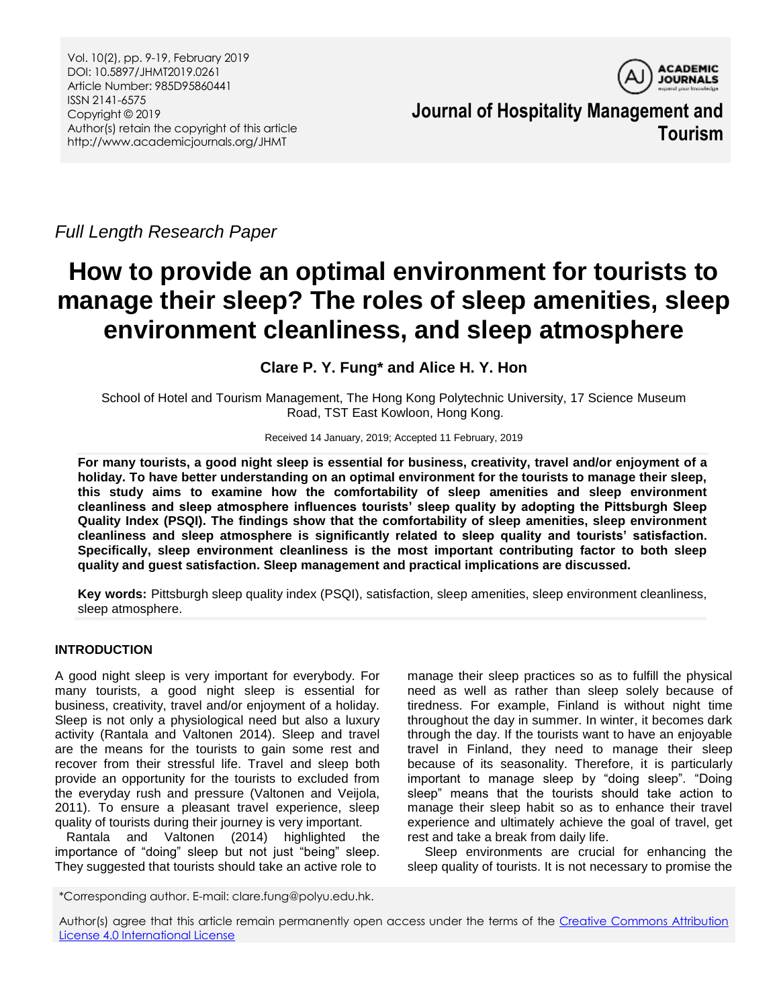

**Journal of Hospitality Management and Tourism**

*Full Length Research Paper*

# **How to provide an optimal environment for tourists to manage their sleep? The roles of sleep amenities, sleep environment cleanliness, and sleep atmosphere**

**Clare P. Y. Fung\* and Alice H. Y. Hon**

School of Hotel and Tourism Management, The Hong Kong Polytechnic University, 17 Science Museum Road, TST East Kowloon, Hong Kong.

Received 14 January, 2019; Accepted 11 February, 2019

**For many tourists, a good night sleep is essential for business, creativity, travel and/or enjoyment of a holiday. To have better understanding on an optimal environment for the tourists to manage their sleep, this study aims to examine how the comfortability of sleep amenities and sleep environment cleanliness and sleep atmosphere influences tourists' sleep quality by adopting the Pittsburgh Sleep Quality Index (PSQI). The findings show that the comfortability of sleep amenities, sleep environment cleanliness and sleep atmosphere is significantly related to sleep quality and tourists' satisfaction. Specifically, sleep environment cleanliness is the most important contributing factor to both sleep quality and guest satisfaction. Sleep management and practical implications are discussed.**

**Key words:** Pittsburgh sleep quality index (PSQI), satisfaction, sleep amenities, sleep environment cleanliness, sleep atmosphere.

## **INTRODUCTION**

A good night sleep is very important for everybody. For many tourists, a good night sleep is essential for business, creativity, travel and/or enjoyment of a holiday. Sleep is not only a physiological need but also a luxury activity (Rantala and Valtonen 2014). Sleep and travel are the means for the tourists to gain some rest and recover from their stressful life. Travel and sleep both provide an opportunity for the tourists to excluded from the everyday rush and pressure (Valtonen and Veijola, 2011). To ensure a pleasant travel experience, sleep quality of tourists during their journey is very important.

Rantala and Valtonen (2014) highlighted the importance of "doing" sleep but not just "being" sleep. They suggested that tourists should take an active role to

manage their sleep practices so as to fulfill the physical need as well as rather than sleep solely because of tiredness. For example, Finland is without night time throughout the day in summer. In winter, it becomes dark through the day. If the tourists want to have an enjoyable travel in Finland, they need to manage their sleep because of its seasonality. Therefore, it is particularly important to manage sleep by "doing sleep". "Doing sleep" means that the tourists should take action to manage their sleep habit so as to enhance their travel experience and ultimately achieve the goal of travel, get rest and take a break from daily life.

Sleep environments are crucial for enhancing the sleep quality of tourists. It is not necessary to promise the

\*Corresponding author. E-mail: clare.fung@polyu.edu.hk.

Author(s) agree that this article remain permanently open access under the terms of the Creative Commons Attribution [License 4.0 International License](http://creativecommons.org/licenses/by/4.0/deed.en_US)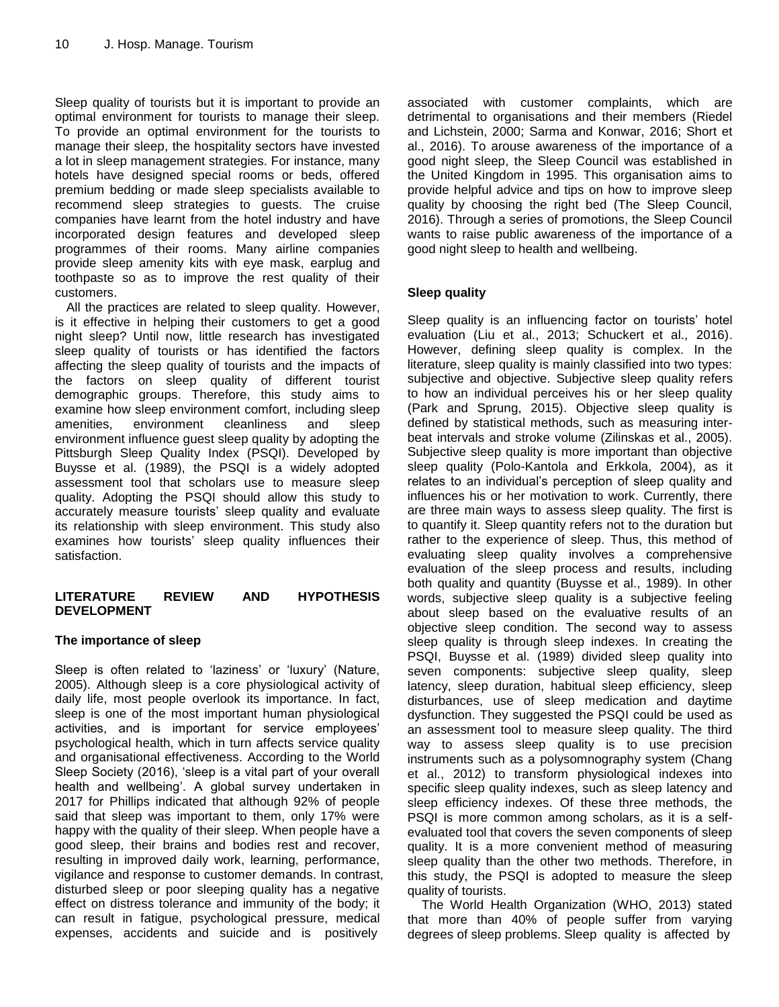Sleep quality of tourists but it is important to provide an optimal environment for tourists to manage their sleep. To provide an optimal environment for the tourists to manage their sleep, the hospitality sectors have invested a lot in sleep management strategies. For instance, many hotels have designed special rooms or beds, offered premium bedding or made sleep specialists available to recommend sleep strategies to guests. The cruise companies have learnt from the hotel industry and have incorporated design features and developed sleep programmes of their rooms. Many airline companies provide sleep amenity kits with eye mask, earplug and toothpaste so as to improve the rest quality of their customers.

All the practices are related to sleep quality. However, is it effective in helping their customers to get a good night sleep? Until now, little research has investigated sleep quality of tourists or has identified the factors affecting the sleep quality of tourists and the impacts of the factors on sleep quality of different tourist demographic groups. Therefore, this study aims to examine how sleep environment comfort, including sleep amenities, environment cleanliness and sleep environment influence guest sleep quality by adopting the Pittsburgh Sleep Quality Index (PSQI). Developed by Buysse et al. (1989), the PSQI is a widely adopted assessment tool that scholars use to measure sleep quality. Adopting the PSQI should allow this study to accurately measure tourists' sleep quality and evaluate its relationship with sleep environment. This study also examines how tourists' sleep quality influences their satisfaction.

### **LITERATURE REVIEW AND HYPOTHESIS DEVELOPMENT**

### **The importance of sleep**

Sleep is often related to 'laziness' or 'luxury' (Nature, 2005). Although sleep is a core physiological activity of daily life, most people overlook its importance. In fact, sleep is one of the most important human physiological activities, and is important for service employees" psychological health, which in turn affects service quality and organisational effectiveness. According to the World Sleep Society (2016), "sleep is a vital part of your overall health and wellbeing'. A global survey undertaken in 2017 for Phillips indicated that although 92% of people said that sleep was important to them, only 17% were happy with the quality of their sleep. When people have a good sleep, their brains and bodies rest and recover, resulting in improved daily work, learning, performance, vigilance and response to customer demands. In contrast, disturbed sleep or poor sleeping quality has a negative effect on distress tolerance and immunity of the body; it can result in fatigue, psychological pressure, medical expenses, accidents and suicide and is positively

associated with customer complaints, which are detrimental to organisations and their members (Riedel and Lichstein, 2000; Sarma and Konwar, 2016; Short et al., 2016). To arouse awareness of the importance of a good night sleep, the Sleep Council was established in the United Kingdom in 1995. This organisation aims to provide helpful advice and tips on how to improve sleep quality by choosing the right bed (The Sleep Council, 2016). Through a series of promotions, the Sleep Council wants to raise public awareness of the importance of a good night sleep to health and wellbeing.

## **Sleep quality**

Sleep quality is an influencing factor on tourists' hotel evaluation (Liu et al., 2013; Schuckert et al., 2016). However, defining sleep quality is complex. In the literature, sleep quality is mainly classified into two types: subjective and objective. Subjective sleep quality refers to how an individual perceives his or her sleep quality (Park and Sprung, 2015). Objective sleep quality is defined by statistical methods, such as measuring interbeat intervals and stroke volume (Zilinskas et al., 2005). Subjective sleep quality is more important than objective sleep quality (Polo-Kantola and Erkkola, 2004), as it relates to an individual"s perception of sleep quality and influences his or her motivation to work. Currently, there are three main ways to assess sleep quality. The first is to quantify it. Sleep quantity refers not to the duration but rather to the experience of sleep. Thus, this method of evaluating sleep quality involves a comprehensive evaluation of the sleep process and results, including both quality and quantity (Buysse et al., 1989). In other words, subjective sleep quality is a subjective feeling about sleep based on the evaluative results of an objective sleep condition. The second way to assess sleep quality is through sleep indexes. In creating the PSQI, Buysse et al. (1989) divided sleep quality into seven components: subjective sleep quality, sleep latency, sleep duration, habitual sleep efficiency, sleep disturbances, use of sleep medication and daytime dysfunction. They suggested the PSQI could be used as an assessment tool to measure sleep quality. The third way to assess sleep quality is to use precision instruments such as a polysomnography system (Chang et al., 2012) to transform physiological indexes into specific sleep quality indexes, such as sleep latency and sleep efficiency indexes. Of these three methods, the PSQI is more common among scholars, as it is a selfevaluated tool that covers the seven components of sleep quality. It is a more convenient method of measuring sleep quality than the other two methods. Therefore, in this study, the PSQI is adopted to measure the sleep quality of tourists.

 The World Health Organization (WHO, 2013) stated that more than 40% of people suffer from varying degrees of sleep problems. Sleep quality is affected by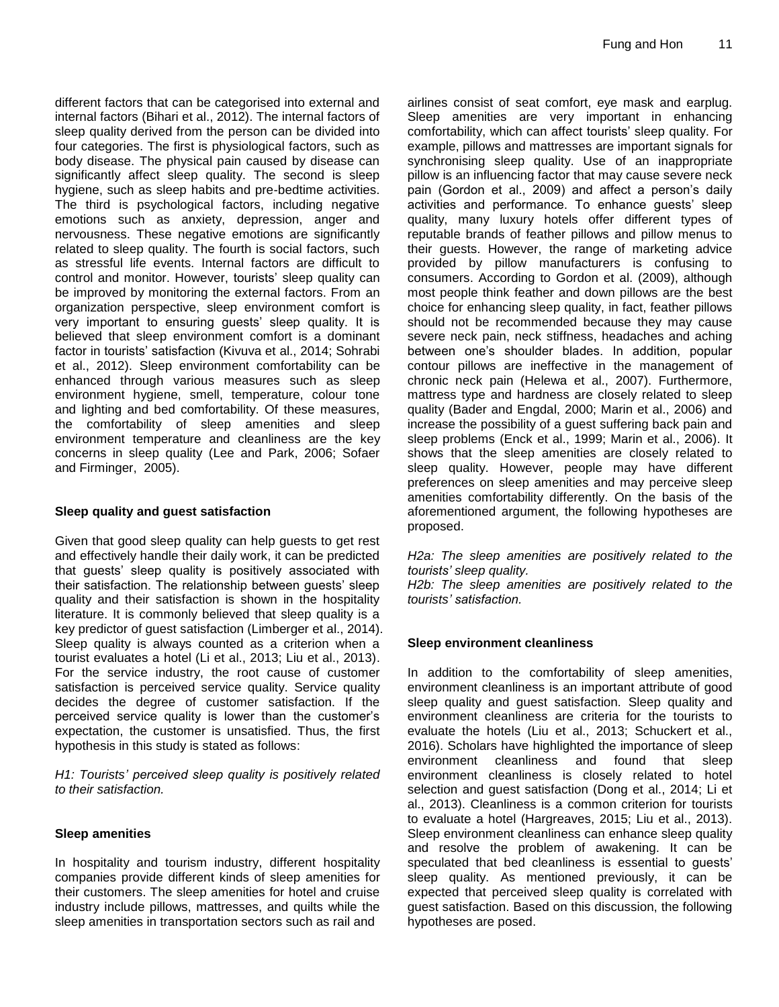different factors that can be categorised into external and internal factors (Bihari et al., 2012). The internal factors of sleep quality derived from the person can be divided into four categories. The first is physiological factors, such as body disease. The physical pain caused by disease can significantly affect sleep quality. The second is sleep hygiene, such as sleep habits and pre-bedtime activities. The third is psychological factors, including negative emotions such as anxiety, depression, anger and nervousness. These negative emotions are significantly related to sleep quality. The fourth is social factors, such as stressful life events. Internal factors are difficult to control and monitor. However, tourists' sleep quality can be improved by monitoring the external factors. From an organization perspective, sleep environment comfort is very important to ensuring guests' sleep quality. It is believed that sleep environment comfort is a dominant factor in tourists' satisfaction (Kivuva et al., 2014; Sohrabi et al., 2012). Sleep environment comfortability can be enhanced through various measures such as sleep environment hygiene, smell, temperature, colour tone and lighting and bed comfortability. Of these measures, the comfortability of sleep amenities and sleep environment temperature and cleanliness are the key concerns in sleep quality (Lee and Park, 2006; Sofaer and Firminger, 2005).

## **Sleep quality and guest satisfaction**

Given that good sleep quality can help guests to get rest and effectively handle their daily work, it can be predicted that guests" sleep quality is positively associated with their satisfaction. The relationship between guests" sleep quality and their satisfaction is shown in the hospitality literature. It is commonly believed that sleep quality is a key predictor of guest satisfaction (Limberger et al., 2014). Sleep quality is always counted as a criterion when a tourist evaluates a hotel (Li et al., 2013; Liu et al., 2013). For the service industry, the root cause of customer satisfaction is perceived service quality. Service quality decides the degree of customer satisfaction. If the perceived service quality is lower than the customer"s expectation, the customer is unsatisfied. Thus, the first hypothesis in this study is stated as follows:

*H1: Tourists' perceived sleep quality is positively related to their satisfaction.* 

### **Sleep amenities**

In hospitality and tourism industry, different hospitality companies provide different kinds of sleep amenities for their customers. The sleep amenities for hotel and cruise industry include pillows, mattresses, and quilts while the sleep amenities in transportation sectors such as rail and

airlines consist of seat comfort, eye mask and earplug. Sleep amenities are very important in enhancing comfortability, which can affect tourists" sleep quality. For example, pillows and mattresses are important signals for synchronising sleep quality. Use of an inappropriate pillow is an influencing factor that may cause severe neck pain (Gordon et al., 2009) and affect a person's daily activities and performance. To enhance guests" sleep quality, many luxury hotels offer different types of reputable brands of feather pillows and pillow menus to their guests. However, the range of marketing advice provided by pillow manufacturers is confusing to consumers. According to Gordon et al. (2009), although most people think feather and down pillows are the best choice for enhancing sleep quality, in fact, feather pillows should not be recommended because they may cause severe neck pain, neck stiffness, headaches and aching between one"s shoulder blades. In addition, popular contour pillows are ineffective in the management of chronic neck pain (Helewa et al., 2007). Furthermore, mattress type and hardness are closely related to sleep quality (Bader and Engdal, 2000; Marin et al., 2006) and increase the possibility of a guest suffering back pain and sleep problems (Enck et al., 1999; Marin et al., 2006). It shows that the sleep amenities are closely related to sleep quality. However, people may have different preferences on sleep amenities and may perceive sleep amenities comfortability differently. On the basis of the aforementioned argument, the following hypotheses are proposed.

*H2a: The sleep amenities are positively related to the tourists' sleep quality.* 

*H2b: The sleep amenities are positively related to the tourists' satisfaction.* 

### **Sleep environment cleanliness**

In addition to the comfortability of sleep amenities, environment cleanliness is an important attribute of good sleep quality and guest satisfaction. Sleep quality and environment cleanliness are criteria for the tourists to evaluate the hotels (Liu et al., 2013; Schuckert et al., 2016). Scholars have highlighted the importance of sleep environment cleanliness and found that sleep environment cleanliness is closely related to hotel selection and guest satisfaction (Dong et al., 2014; Li et al., 2013). Cleanliness is a common criterion for tourists to evaluate a hotel (Hargreaves, 2015; Liu et al., 2013). Sleep environment cleanliness can enhance sleep quality and resolve the problem of awakening. It can be speculated that bed cleanliness is essential to quests' sleep quality. As mentioned previously, it can be expected that perceived sleep quality is correlated with guest satisfaction. Based on this discussion, the following hypotheses are posed.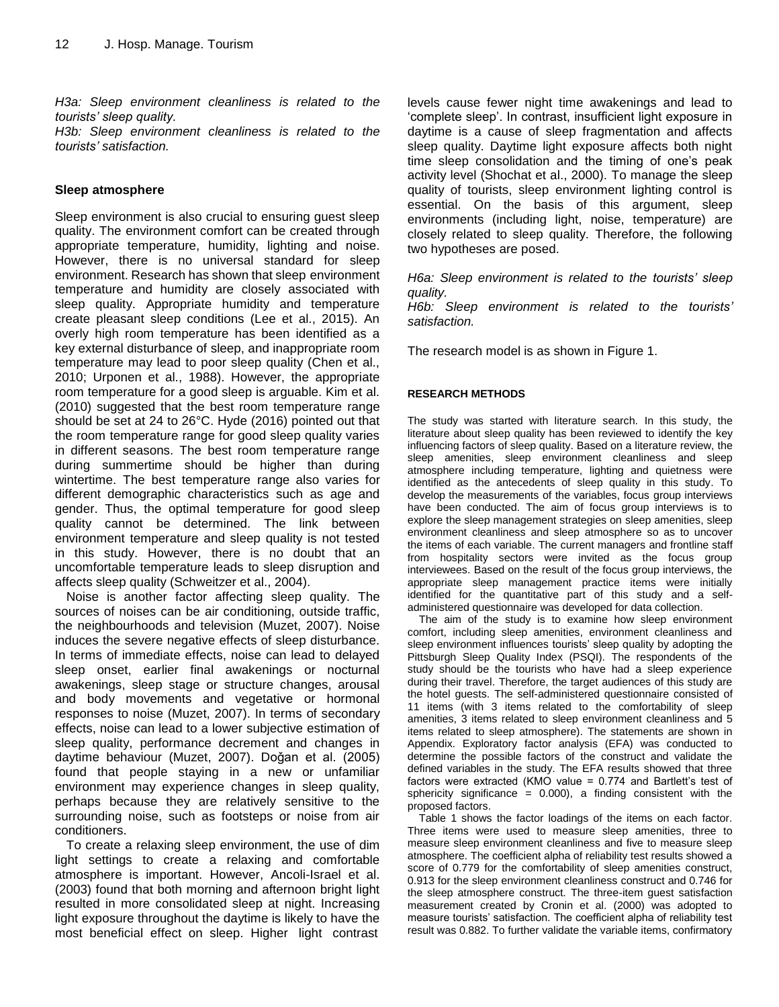*H3a: Sleep environment cleanliness is related to the tourists' sleep quality.*

*H3b: Sleep environment cleanliness is related to the tourists' satisfaction.*

#### **Sleep atmosphere**

Sleep environment is also crucial to ensuring guest sleep quality. The environment comfort can be created through appropriate temperature, humidity, lighting and noise. However, there is no universal standard for sleep environment. Research has shown that sleep environment temperature and humidity are closely associated with sleep quality. Appropriate humidity and temperature create pleasant sleep conditions (Lee et al., 2015). An overly high room temperature has been identified as a key external disturbance of sleep, and inappropriate room temperature may lead to poor sleep quality (Chen et al., 2010; Urponen et al., 1988). However, the appropriate room temperature for a good sleep is arguable. Kim et al. (2010) suggested that the best room temperature range should be set at 24 to 26°C. Hyde (2016) pointed out that the room temperature range for good sleep quality varies in different seasons. The best room temperature range during summertime should be higher than during wintertime. The best temperature range also varies for different demographic characteristics such as age and gender. Thus, the optimal temperature for good sleep quality cannot be determined. The link between environment temperature and sleep quality is not tested in this study. However, there is no doubt that an uncomfortable temperature leads to sleep disruption and affects sleep quality (Schweitzer et al., 2004).

Noise is another factor affecting sleep quality. The sources of noises can be air conditioning, outside traffic, the neighbourhoods and television (Muzet, 2007). Noise induces the severe negative effects of sleep disturbance. In terms of immediate effects, noise can lead to delayed sleep onset, earlier final awakenings or nocturnal awakenings, sleep stage or structure changes, arousal and body movements and vegetative or hormonal responses to noise (Muzet, 2007). In terms of secondary effects, noise can lead to a lower subjective estimation of sleep quality, performance decrement and changes in daytime behaviour (Muzet, 2007). Doǧan et al. (2005) found that people staying in a new or unfamiliar environment may experience changes in sleep quality, perhaps because they are relatively sensitive to the surrounding noise, such as footsteps or noise from air conditioners.

To create a relaxing sleep environment, the use of dim light settings to create a relaxing and comfortable atmosphere is important. However, Ancoli-Israel et al. (2003) found that both morning and afternoon bright light resulted in more consolidated sleep at night. Increasing light exposure throughout the daytime is likely to have the most beneficial effect on sleep. Higher light contrast levels cause fewer night time awakenings and lead to "complete sleep". In contrast, insufficient light exposure in daytime is a cause of sleep fragmentation and affects sleep quality. Daytime light exposure affects both night time sleep consolidation and the timing of one"s peak activity level (Shochat et al., 2000). To manage the sleep quality of tourists, sleep environment lighting control is essential. On the basis of this argument, sleep environments (including light, noise, temperature) are closely related to sleep quality. Therefore, the following two hypotheses are posed.

*H6a: Sleep environment is related to the tourists' sleep quality.* 

*H6b: Sleep environment is related to the tourists' satisfaction.* 

The research model is as shown in Figure 1.

#### **RESEARCH METHODS**

The study was started with literature search. In this study, the literature about sleep quality has been reviewed to identify the key influencing factors of sleep quality. Based on a literature review, the sleep amenities, sleep environment cleanliness and sleep atmosphere including temperature, lighting and quietness were identified as the antecedents of sleep quality in this study. To develop the measurements of the variables, focus group interviews have been conducted. The aim of focus group interviews is to explore the sleep management strategies on sleep amenities, sleep environment cleanliness and sleep atmosphere so as to uncover the items of each variable. The current managers and frontline staff from hospitality sectors were invited as the focus group interviewees. Based on the result of the focus group interviews, the appropriate sleep management practice items were initially identified for the quantitative part of this study and a selfadministered questionnaire was developed for data collection.

The aim of the study is to examine how sleep environment comfort, including sleep amenities, environment cleanliness and sleep environment influences tourists' sleep quality by adopting the Pittsburgh Sleep Quality Index (PSQI). The respondents of the study should be the tourists who have had a sleep experience during their travel. Therefore, the target audiences of this study are the hotel guests. The self-administered questionnaire consisted of 11 items (with 3 items related to the comfortability of sleep amenities, 3 items related to sleep environment cleanliness and 5 items related to sleep atmosphere). The statements are shown in Appendix. Exploratory factor analysis (EFA) was conducted to determine the possible factors of the construct and validate the defined variables in the study. The EFA results showed that three factors were extracted (KMO value =  $0.774$  and Bartlett's test of sphericity significance =  $0.000$ ), a finding consistent with the proposed factors.

Table 1 shows the factor loadings of the items on each factor. Three items were used to measure sleep amenities, three to measure sleep environment cleanliness and five to measure sleep atmosphere. The coefficient alpha of reliability test results showed a score of 0.779 for the comfortability of sleep amenities construct, 0.913 for the sleep environment cleanliness construct and 0.746 for the sleep atmosphere construct. The three-item guest satisfaction measurement created by Cronin et al. (2000) was adopted to measure tourists" satisfaction. The coefficient alpha of reliability test result was 0.882. To further validate the variable items, confirmatory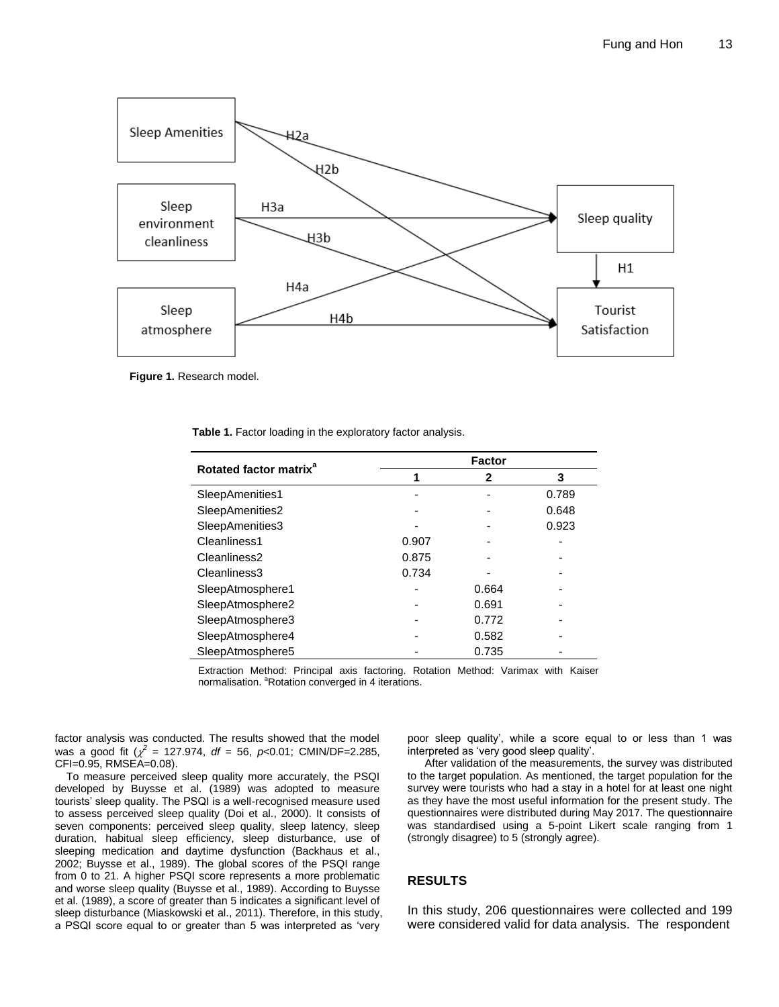

**Figure 1.** Research model.

| Table 1. Factor loading in the exploratory factor analysis. |  |  |  |  |  |
|-------------------------------------------------------------|--|--|--|--|--|
|-------------------------------------------------------------|--|--|--|--|--|

| Rotated factor matrix <sup>a</sup> | <b>Factor</b> |       |       |  |
|------------------------------------|---------------|-------|-------|--|
|                                    | 1             | 2     | 3     |  |
| SleepAmenities1                    |               |       | 0.789 |  |
| SleepAmenities2                    |               |       | 0.648 |  |
| SleepAmenities3                    |               |       | 0.923 |  |
| Cleanliness1                       | 0.907         |       |       |  |
| Cleanliness2                       | 0.875         |       |       |  |
| Cleanliness3                       | 0.734         |       |       |  |
| SleepAtmosphere1                   |               | 0.664 |       |  |
| SleepAtmosphere2                   |               | 0.691 |       |  |
| SleepAtmosphere3                   |               | 0.772 |       |  |
| SleepAtmosphere4                   |               | 0.582 |       |  |
| SleepAtmosphere5                   |               | 0.735 |       |  |

Extraction Method: Principal axis factoring. Rotation Method: Varimax with Kaiser normalisation. <sup>a</sup>Rotation converged in 4 iterations.

factor analysis was conducted. The results showed that the model was a good fit  $\left(\chi^2 = 127.974, df = 56, p < 0.01$ ; CMIN/DF=2.285, CFI=0.95, RMSEA=0.08).

To measure perceived sleep quality more accurately, the PSQI developed by Buysse et al. (1989) was adopted to measure tourists" sleep quality. The PSQI is a well-recognised measure used to assess perceived sleep quality (Doi et al., 2000). It consists of seven components: perceived sleep quality, sleep latency, sleep duration, habitual sleep efficiency, sleep disturbance, use of sleeping medication and daytime dysfunction (Backhaus et al., 2002; Buysse et al., 1989). The global scores of the PSQI range from 0 to 21. A higher PSQI score represents a more problematic and worse sleep quality (Buysse et al., 1989). According to Buysse et al. (1989), a score of greater than 5 indicates a significant level of sleep disturbance (Miaskowski et al., 2011). Therefore, in this study, a PSQI score equal to or greater than 5 was interpreted as "very

poor sleep quality", while a score equal to or less than 1 was interpreted as 'very good sleep quality'.

After validation of the measurements, the survey was distributed to the target population. As mentioned, the target population for the survey were tourists who had a stay in a hotel for at least one night as they have the most useful information for the present study. The questionnaires were distributed during May 2017. The questionnaire was standardised using a 5-point Likert scale ranging from 1 (strongly disagree) to 5 (strongly agree).

## **RESULTS**

In this study, 206 questionnaires were collected and 199 were considered valid for data analysis. The respondent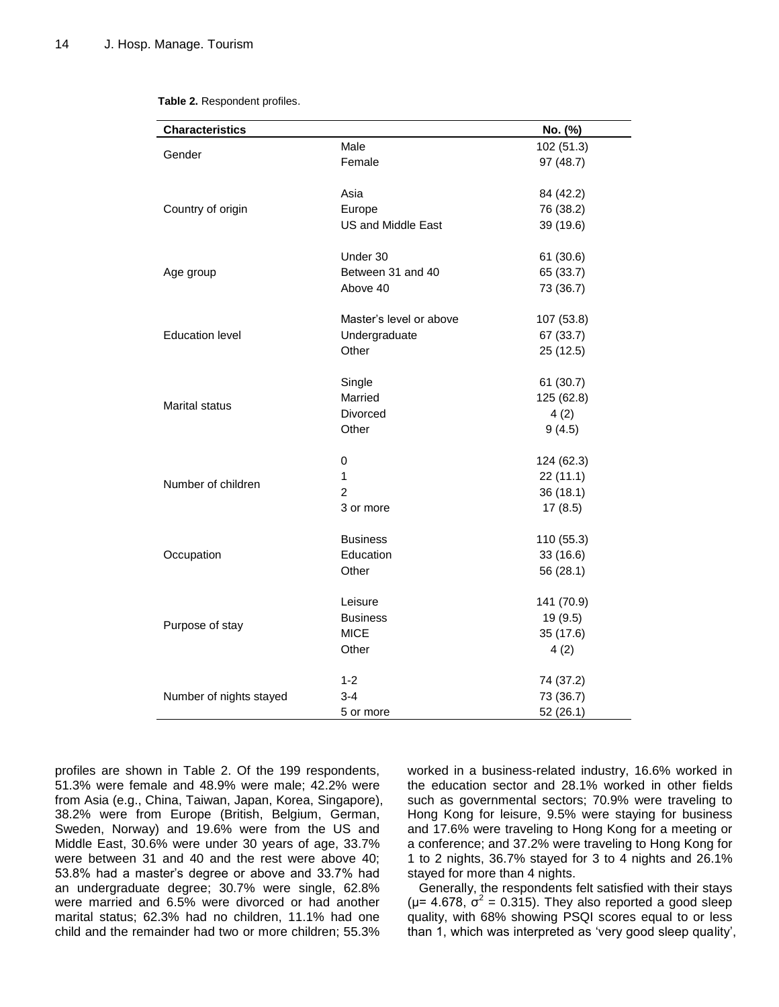| <b>Characteristics</b>  |                           | No. (%)    |
|-------------------------|---------------------------|------------|
|                         | Male                      | 102 (51.3) |
| Gender                  | Female                    | 97 (48.7)  |
|                         |                           |            |
| Country of origin       | Asia                      | 84 (42.2)  |
|                         | Europe                    | 76 (38.2)  |
|                         | <b>US and Middle East</b> | 39 (19.6)  |
| Age group               | Under 30                  | 61 (30.6)  |
|                         | Between 31 and 40         | 65 (33.7)  |
|                         | Above 40                  | 73 (36.7)  |
|                         |                           |            |
| <b>Education level</b>  | Master's level or above   | 107 (53.8) |
|                         | Undergraduate             | 67 (33.7)  |
|                         | Other                     | 25 (12.5)  |
| <b>Marital status</b>   |                           |            |
|                         | Single<br>Married         | 61 (30.7)  |
|                         | Divorced                  | 125 (62.8) |
|                         |                           | 4(2)       |
|                         | Other                     | 9(4.5)     |
| Number of children      | $\mathbf 0$               | 124 (62.3) |
|                         | 1                         | 22(11.1)   |
|                         | $\overline{2}$            | 36(18.1)   |
|                         | 3 or more                 | 17(8.5)    |
| Occupation              | <b>Business</b>           | 110 (55.3) |
|                         | Education                 | 33 (16.6)  |
|                         | Other                     | 56 (28.1)  |
|                         |                           |            |
| Purpose of stay         | Leisure                   | 141 (70.9) |
|                         | <b>Business</b>           | 19 (9.5)   |
|                         | <b>MICE</b>               | 35 (17.6)  |
|                         | Other                     | 4(2)       |
|                         |                           |            |
| Number of nights stayed | $1 - 2$                   | 74 (37.2)  |
|                         | $3 - 4$                   | 73 (36.7)  |
|                         | 5 or more                 | 52 (26.1)  |

**Table 2.** Respondent profiles.

profiles are shown in Table 2. Of the 199 respondents, 51.3% were female and 48.9% were male; 42.2% were from Asia (e.g., China, Taiwan, Japan, Korea, Singapore), 38.2% were from Europe (British, Belgium, German, Sweden, Norway) and 19.6% were from the US and Middle East, 30.6% were under 30 years of age, 33.7% were between 31 and 40 and the rest were above 40; 53.8% had a master"s degree or above and 33.7% had an undergraduate degree; 30.7% were single, 62.8% were married and 6.5% were divorced or had another marital status; 62.3% had no children, 11.1% had one child and the remainder had two or more children; 55.3%

worked in a business-related industry, 16.6% worked in the education sector and 28.1% worked in other fields such as governmental sectors; 70.9% were traveling to Hong Kong for leisure, 9.5% were staying for business and 17.6% were traveling to Hong Kong for a meeting or a conference; and 37.2% were traveling to Hong Kong for 1 to 2 nights, 36.7% stayed for 3 to 4 nights and 26.1% stayed for more than 4 nights.

Generally, the respondents felt satisfied with their stays ( $\mu$ = 4.678,  $\sigma^2$  = 0.315). They also reported a good sleep quality, with 68% showing PSQI scores equal to or less than 1, which was interpreted as "very good sleep quality",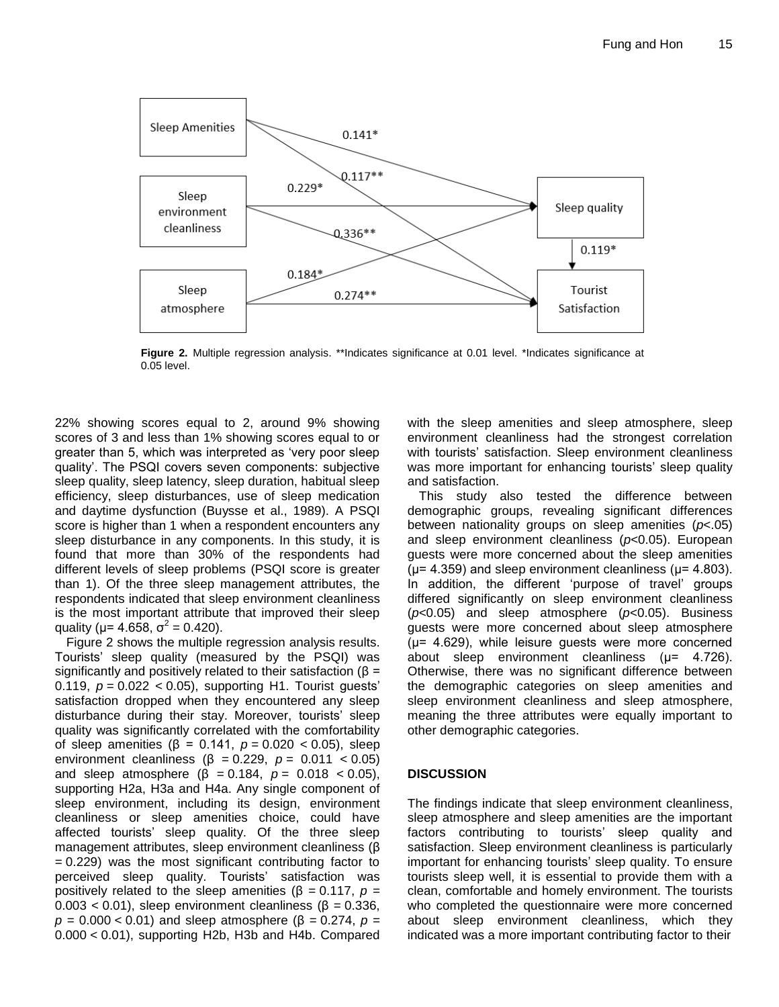

**Figure 2.** Multiple regression analysis. \*\*Indicates significance at 0.01 level. \*Indicates significance at 0.05 level.

22% showing scores equal to 2, around 9% showing scores of 3 and less than 1% showing scores equal to or greater than 5, which was interpreted as "very poor sleep quality". The PSQI covers seven components: subjective sleep quality, sleep latency, sleep duration, habitual sleep efficiency, sleep disturbances, use of sleep medication and daytime dysfunction (Buysse et al., 1989). A PSQI score is higher than 1 when a respondent encounters any sleep disturbance in any components. In this study, it is found that more than 30% of the respondents had different levels of sleep problems (PSQI score is greater than 1). Of the three sleep management attributes, the respondents indicated that sleep environment cleanliness is the most important attribute that improved their sleep quality ( $\mu$ = 4.658,  $\sigma^2$  = 0.420).

Figure 2 shows the multiple regression analysis results. Tourists" sleep quality (measured by the PSQI) was significantly and positively related to their satisfaction ( $\beta$  = 0.119,  $p = 0.022 < 0.05$ ), supporting H1. Tourist guests' satisfaction dropped when they encountered any sleep disturbance during their stay. Moreover, tourists' sleep quality was significantly correlated with the comfortability of sleep amenities (β = 0.141, *p* = 0.020 < 0.05), sleep environment cleanliness (β = 0.229, *p* = 0.011 < 0.05) and sleep atmosphere (β = 0.184,  $p = 0.018$  < 0.05), supporting H2a, H3a and H4a. Any single component of sleep environment, including its design, environment cleanliness or sleep amenities choice, could have affected tourists' sleep quality. Of the three sleep management attributes, sleep environment cleanliness (β  $= 0.229$ ) was the most significant contributing factor to perceived sleep quality. Tourists" satisfaction was positively related to the sleep amenities (β = 0.117,  $p =$  $0.003$  < 0.01), sleep environment cleanliness ( $\beta$  = 0.336, *) and sleep atmosphere (β = 0.274, <i>p* = 0.000 < 0.01), supporting H2b, H3b and H4b. Compared with the sleep amenities and sleep atmosphere, sleep environment cleanliness had the strongest correlation with tourists' satisfaction. Sleep environment cleanliness was more important for enhancing tourists' sleep quality and satisfaction.

This study also tested the difference between demographic groups, revealing significant differences between nationality groups on sleep amenities (*p*<.05) and sleep environment cleanliness (*p*<0.05). European guests were more concerned about the sleep amenities ( $\mu$ = 4.359) and sleep environment cleanliness ( $\mu$ = 4.803). In addition, the different 'purpose of travel' groups differed significantly on sleep environment cleanliness (*p*<0.05) and sleep atmosphere (*p*<0.05). Business guests were more concerned about sleep atmosphere (μ= 4.629), while leisure guests were more concerned about sleep environment cleanliness (μ= 4.726). Otherwise, there was no significant difference between the demographic categories on sleep amenities and sleep environment cleanliness and sleep atmosphere, meaning the three attributes were equally important to other demographic categories.

## **DISCUSSION**

The findings indicate that sleep environment cleanliness, sleep atmosphere and sleep amenities are the important factors contributing to tourists' sleep quality and satisfaction. Sleep environment cleanliness is particularly important for enhancing tourists' sleep quality. To ensure tourists sleep well, it is essential to provide them with a clean, comfortable and homely environment. The tourists who completed the questionnaire were more concerned about sleep environment cleanliness, which they indicated was a more important contributing factor to their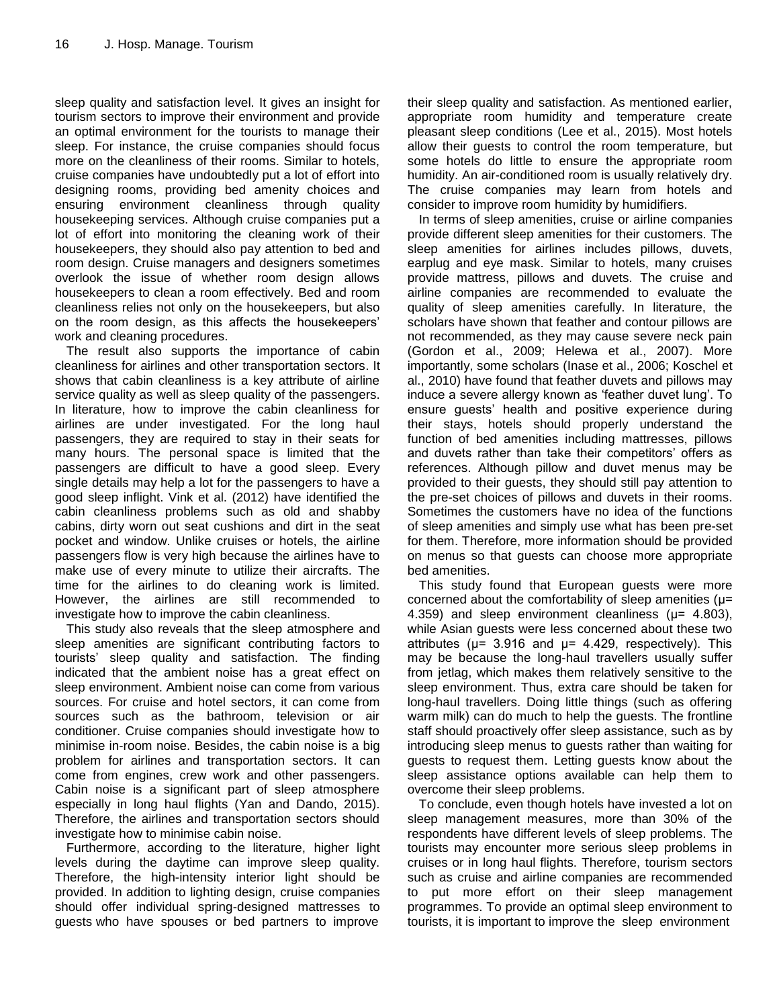sleep quality and satisfaction level. It gives an insight for tourism sectors to improve their environment and provide an optimal environment for the tourists to manage their sleep. For instance, the cruise companies should focus more on the cleanliness of their rooms. Similar to hotels, cruise companies have undoubtedly put a lot of effort into designing rooms, providing bed amenity choices and ensuring environment cleanliness through quality housekeeping services. Although cruise companies put a lot of effort into monitoring the cleaning work of their housekeepers, they should also pay attention to bed and room design. Cruise managers and designers sometimes overlook the issue of whether room design allows housekeepers to clean a room effectively. Bed and room cleanliness relies not only on the housekeepers, but also on the room design, as this affects the housekeepers" work and cleaning procedures.

The result also supports the importance of cabin cleanliness for airlines and other transportation sectors. It shows that cabin cleanliness is a key attribute of airline service quality as well as sleep quality of the passengers. In literature, how to improve the cabin cleanliness for airlines are under investigated. For the long haul passengers, they are required to stay in their seats for many hours. The personal space is limited that the passengers are difficult to have a good sleep. Every single details may help a lot for the passengers to have a good sleep inflight. Vink et al. (2012) have identified the cabin cleanliness problems such as old and shabby cabins, dirty worn out seat cushions and dirt in the seat pocket and window. Unlike cruises or hotels, the airline passengers flow is very high because the airlines have to make use of every minute to utilize their aircrafts. The time for the airlines to do cleaning work is limited. However, the airlines are still recommended to investigate how to improve the cabin cleanliness.

This study also reveals that the sleep atmosphere and sleep amenities are significant contributing factors to tourists" sleep quality and satisfaction. The finding indicated that the ambient noise has a great effect on sleep environment. Ambient noise can come from various sources. For cruise and hotel sectors, it can come from sources such as the bathroom, television or air conditioner. Cruise companies should investigate how to minimise in-room noise. Besides, the cabin noise is a big problem for airlines and transportation sectors. It can come from engines, crew work and other passengers. Cabin noise is a significant part of sleep atmosphere especially in long haul flights (Yan and Dando, 2015). Therefore, the airlines and transportation sectors should investigate how to minimise cabin noise.

Furthermore, according to the literature, higher light levels during the daytime can improve sleep quality. Therefore, the high-intensity interior light should be provided. In addition to lighting design, cruise companies should offer individual spring-designed mattresses to guests who have spouses or bed partners to improve

their sleep quality and satisfaction. As mentioned earlier, appropriate room humidity and temperature create pleasant sleep conditions (Lee et al., 2015). Most hotels allow their guests to control the room temperature, but some hotels do little to ensure the appropriate room humidity. An air-conditioned room is usually relatively dry. The cruise companies may learn from hotels and consider to improve room humidity by humidifiers.

In terms of sleep amenities, cruise or airline companies provide different sleep amenities for their customers. The sleep amenities for airlines includes pillows, duvets, earplug and eye mask. Similar to hotels, many cruises provide mattress, pillows and duvets. The cruise and airline companies are recommended to evaluate the quality of sleep amenities carefully. In literature, the scholars have shown that feather and contour pillows are not recommended, as they may cause severe neck pain (Gordon et al., 2009; Helewa et al., 2007). More importantly, some scholars (Inase et al., 2006; Koschel et al., 2010) have found that feather duvets and pillows may induce a severe allergy known as "feather duvet lung". To ensure guests" health and positive experience during their stays, hotels should properly understand the function of bed amenities including mattresses, pillows and duvets rather than take their competitors' offers as references. Although pillow and duvet menus may be provided to their guests, they should still pay attention to the pre-set choices of pillows and duvets in their rooms. Sometimes the customers have no idea of the functions of sleep amenities and simply use what has been pre-set for them. Therefore, more information should be provided on menus so that guests can choose more appropriate bed amenities.

This study found that European guests were more concerned about the comfortability of sleep amenities (μ= 4.359) and sleep environment cleanliness  $(\mu = 4.803)$ , while Asian guests were less concerned about these two attributes ( $\mu$ = 3.916 and  $\mu$ = 4.429, respectively). This may be because the long-haul travellers usually suffer from jetlag, which makes them relatively sensitive to the sleep environment. Thus, extra care should be taken for long-haul travellers. Doing little things (such as offering warm milk) can do much to help the guests. The frontline staff should proactively offer sleep assistance, such as by introducing sleep menus to guests rather than waiting for guests to request them. Letting guests know about the sleep assistance options available can help them to overcome their sleep problems.

To conclude, even though hotels have invested a lot on sleep management measures, more than 30% of the respondents have different levels of sleep problems. The tourists may encounter more serious sleep problems in cruises or in long haul flights. Therefore, tourism sectors such as cruise and airline companies are recommended to put more effort on their sleep management programmes. To provide an optimal sleep environment to tourists, it is important to improve the sleep environment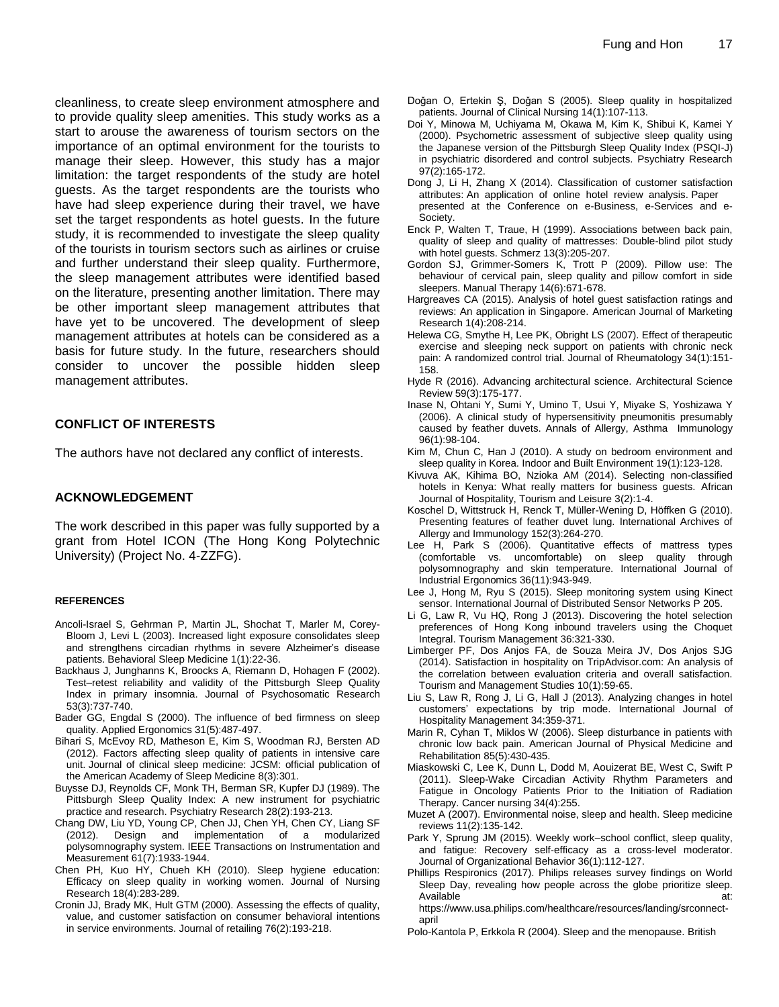cleanliness, to create sleep environment atmosphere and to provide quality sleep amenities. This study works as a start to arouse the awareness of tourism sectors on the importance of an optimal environment for the tourists to manage their sleep. However, this study has a major limitation: the target respondents of the study are hotel guests. As the target respondents are the tourists who have had sleep experience during their travel, we have set the target respondents as hotel guests. In the future study, it is recommended to investigate the sleep quality of the tourists in tourism sectors such as airlines or cruise and further understand their sleep quality. Furthermore, the sleep management attributes were identified based on the literature, presenting another limitation. There may be other important sleep management attributes that have yet to be uncovered. The development of sleep management attributes at hotels can be considered as a basis for future study. In the future, researchers should consider to uncover the possible hidden sleep management attributes.

#### **CONFLICT OF INTERESTS**

The authors have not declared any conflict of interests.

#### **ACKNOWLEDGEMENT**

The work described in this paper was fully supported by a grant from Hotel ICON (The Hong Kong Polytechnic University) (Project No. 4-ZZFG).

#### **REFERENCES**

- Ancoli-Israel S, Gehrman P, Martin JL, Shochat T, Marler M, Corey-Bloom J, Levi L (2003). Increased light exposure consolidates sleep and strengthens circadian rhythms in severe Alzheimer"s disease patients. Behavioral Sleep Medicine 1(1):22-36.
- Backhaus J, Junghanns K, Broocks A, Riemann D, Hohagen F (2002). Test–retest reliability and validity of the Pittsburgh Sleep Quality Index in primary insomnia. Journal of Psychosomatic Research 53(3):737-740.
- Bader GG, Engdal S (2000). The influence of bed firmness on sleep quality. Applied Ergonomics 31(5):487-497.
- Bihari S, McEvoy RD, Matheson E, Kim S, Woodman RJ, Bersten AD (2012). Factors affecting sleep quality of patients in intensive care unit. Journal of clinical sleep medicine: JCSM: official publication of the American Academy of Sleep Medicine 8(3):301.
- Buysse DJ, Reynolds CF, Monk TH, Berman SR, Kupfer DJ (1989). The Pittsburgh Sleep Quality Index: A new instrument for psychiatric practice and research. Psychiatry Research 28(2):193-213.
- Chang DW, Liu YD, Young CP, Chen JJ, Chen YH, Chen CY, Liang SF (2012). Design and implementation of a modularized polysomnography system. IEEE Transactions on Instrumentation and Measurement 61(7):1933-1944.
- Chen PH, Kuo HY, Chueh KH (2010). Sleep hygiene education: Efficacy on sleep quality in working women. Journal of Nursing Research 18(4):283-289.
- Cronin JJ, Brady MK, Hult GTM (2000). Assessing the effects of quality, value, and customer satisfaction on consumer behavioral intentions in service environments. Journal of retailing 76(2):193-218.
- Doǧan O, Ertekin Ş, Doǧan S (2005). Sleep quality in hospitalized patients. Journal of Clinical Nursing 14(1):107-113.
- Doi Y, Minowa M, Uchiyama M, Okawa M, Kim K, Shibui K, Kamei Y (2000). Psychometric assessment of subjective sleep quality using the Japanese version of the Pittsburgh Sleep Quality Index (PSQI-J) in psychiatric disordered and control subjects. Psychiatry Research 97(2):165-172.
- Dong J, Li H, Zhang X (2014). Classification of customer satisfaction attributes: An application of online hotel review analysis. Paper presented at the Conference on e-Business, e-Services and e-Society.
- Enck P, Walten T, Traue, H (1999). Associations between back pain, quality of sleep and quality of mattresses: Double-blind pilot study with hotel guests. Schmerz 13(3):205-207.
- Gordon SJ, Grimmer-Somers K, Trott P (2009). Pillow use: The behaviour of cervical pain, sleep quality and pillow comfort in side sleepers. Manual Therapy 14(6):671-678.
- Hargreaves CA (2015). Analysis of hotel guest satisfaction ratings and reviews: An application in Singapore. American Journal of Marketing Research 1(4):208-214.
- Helewa CG, Smythe H, Lee PK, Obright LS (2007). Effect of therapeutic exercise and sleeping neck support on patients with chronic neck pain: A randomized control trial. Journal of Rheumatology 34(1):151- 158.
- Hyde R (2016). Advancing architectural science. Architectural Science Review 59(3):175-177.
- Inase N, Ohtani Y, Sumi Y, Umino T, Usui Y, Miyake S, Yoshizawa Y (2006). A clinical study of hypersensitivity pneumonitis presumably caused by feather duvets. Annals of Allergy, Asthma Immunology 96(1):98-104.
- Kim M, Chun C, Han J (2010). A study on bedroom environment and sleep quality in Korea. Indoor and Built Environment 19(1):123-128.
- Kivuva AK, Kihima BO, Nzioka AM (2014). Selecting non-classified hotels in Kenya: What really matters for business guests. African Journal of Hospitality, Tourism and Leisure 3(2):1-4.
- Koschel D, Wittstruck H, Renck T, Müller-Wening D, Höffken G (2010). Presenting features of feather duvet lung. International Archives of Allergy and Immunology 152(3):264-270.
- Lee H, Park S (2006). Quantitative effects of mattress types (comfortable vs. uncomfortable) on sleep quality through polysomnography and skin temperature. International Journal of Industrial Ergonomics 36(11):943-949.
- Lee J, Hong M, Ryu S (2015). Sleep monitoring system using Kinect sensor. International Journal of Distributed Sensor Networks P 205.
- Li G, Law R, Vu HQ, Rong J (2013). Discovering the hotel selection preferences of Hong Kong inbound travelers using the Choquet Integral. Tourism Management 36:321-330.
- Limberger PF, Dos Anjos FA, de Souza Meira JV, Dos Anjos SJG (2014). Satisfaction in hospitality on TripAdvisor.com: An analysis of the correlation between evaluation criteria and overall satisfaction. Tourism and Management Studies 10(1):59-65.
- Liu S, Law R, Rong J, Li G, Hall J (2013). Analyzing changes in hotel customers" expectations by trip mode. International Journal of Hospitality Management 34:359-371.
- Marin R, Cyhan T, Miklos W (2006). Sleep disturbance in patients with chronic low back pain. American Journal of Physical Medicine and Rehabilitation 85(5):430-435.
- Miaskowski C, Lee K, Dunn L, Dodd M, Aouizerat BE, West C, Swift P (2011). Sleep-Wake Circadian Activity Rhythm Parameters and Fatigue in Oncology Patients Prior to the Initiation of Radiation Therapy. Cancer nursing 34(4):255.
- Muzet A (2007). Environmental noise, sleep and health. Sleep medicine reviews 11(2):135-142.
- Park Y, Sprung JM (2015). Weekly work–school conflict, sleep quality, and fatigue: Recovery self-efficacy as a cross-level moderator. Journal of Organizational Behavior 36(1):112-127.
- Phillips Respironics (2017). Philips releases survey findings on World Sleep Day, revealing how people across the globe prioritize sleep. Available at:

https://www.usa.philips.com/healthcare/resources/landing/srconnectapril

Polo-Kantola P, Erkkola R (2004). Sleep and the menopause. British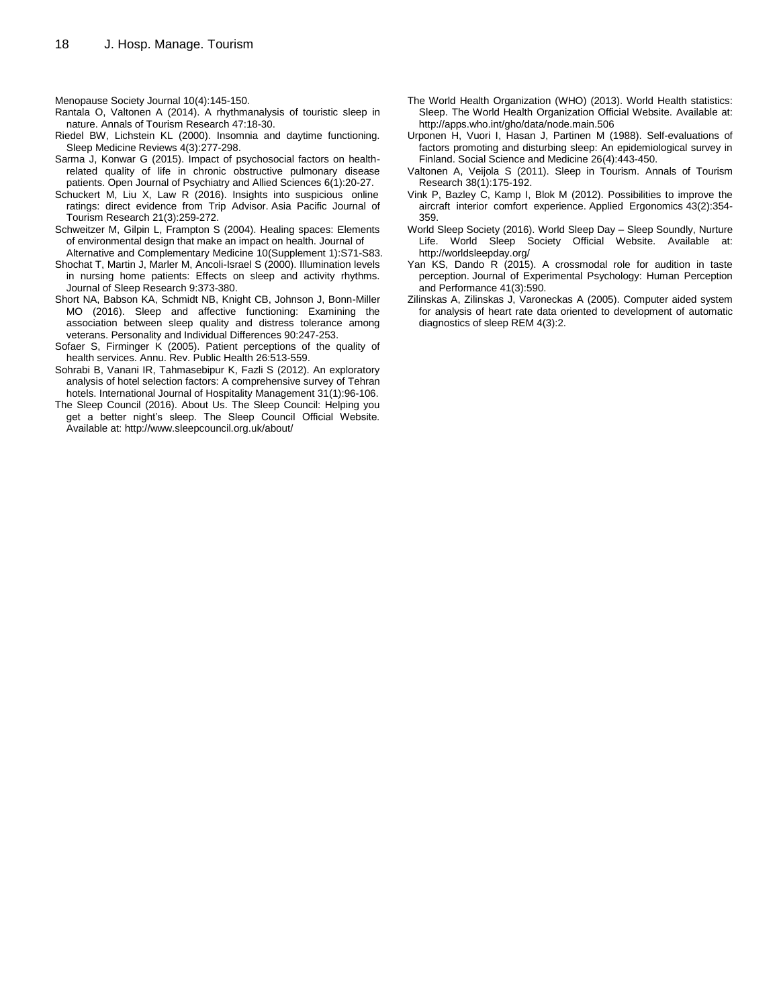Menopause Society Journal 10(4):145-150.

- Rantala O, Valtonen A (2014). A rhythmanalysis of touristic sleep in nature. Annals of Tourism Research 47:18-30.
- Riedel BW, Lichstein KL (2000). Insomnia and daytime functioning. Sleep Medicine Reviews 4(3):277-298.
- Sarma J, Konwar G (2015). Impact of psychosocial factors on healthrelated quality of life in chronic obstructive pulmonary disease patients. Open Journal of Psychiatry and Allied Sciences 6(1):20-27.
- Schuckert M, Liu X, Law R (2016). Insights into suspicious online ratings: direct evidence from Trip Advisor. Asia Pacific Journal of Tourism Research 21(3):259-272.
- Schweitzer M, Gilpin L, Frampton S (2004). Healing spaces: Elements of environmental design that make an impact on health. Journal of
- Alternative and Complementary Medicine 10(Supplement 1):S71-S83. Shochat T, Martin J, Marler M, Ancoli-Israel S (2000). Illumination levels in nursing home patients: Effects on sleep and activity rhythms. Journal of Sleep Research 9:373-380.
- Short NA, Babson KA, Schmidt NB, Knight CB, Johnson J, Bonn-Miller MO (2016). Sleep and affective functioning: Examining the association between sleep quality and distress tolerance among veterans. Personality and Individual Differences 90:247-253.
- Sofaer S, Firminger K (2005). Patient perceptions of the quality of health services. Annu. Rev. Public Health 26:513-559.
- Sohrabi B, Vanani IR, Tahmasebipur K, Fazli S (2012). An exploratory analysis of hotel selection factors: A comprehensive survey of Tehran hotels. International Journal of Hospitality Management 31(1):96-106.
- The Sleep Council (2016). About Us. The Sleep Council: Helping you get a better night's sleep. The Sleep Council Official Website. Available at:<http://www.sleepcouncil.org.uk/about/>
- The World Health Organization (WHO) (2013). World Health statistics: Sleep. The World Health Organization Official Website. Available at: http://apps.who.int/gho/data/node.main.506
- Urponen H, Vuori I, Hasan J, Partinen M (1988). Self-evaluations of factors promoting and disturbing sleep: An epidemiological survey in Finland. Social Science and Medicine 26(4):443-450.
- Valtonen A, Veijola S (2011). Sleep in Tourism. Annals of Tourism Research 38(1):175-192.
- Vink P, Bazley C, Kamp I, Blok M (2012). Possibilities to improve the aircraft interior comfort experience. Applied Ergonomics 43(2):354- 359.
- World Sleep Society (2016). World Sleep Day Sleep Soundly, Nurture Life. World Sleep Society Official Website. Available at: <http://worldsleepday.org/>
- Yan KS, Dando R (2015). A crossmodal role for audition in taste perception. Journal of Experimental Psychology: Human Perception and Performance 41(3):590.
- Zilinskas A, Zilinskas J, Varoneckas A (2005). Computer aided system for analysis of heart rate data oriented to development of automatic diagnostics of sleep REM 4(3):2.